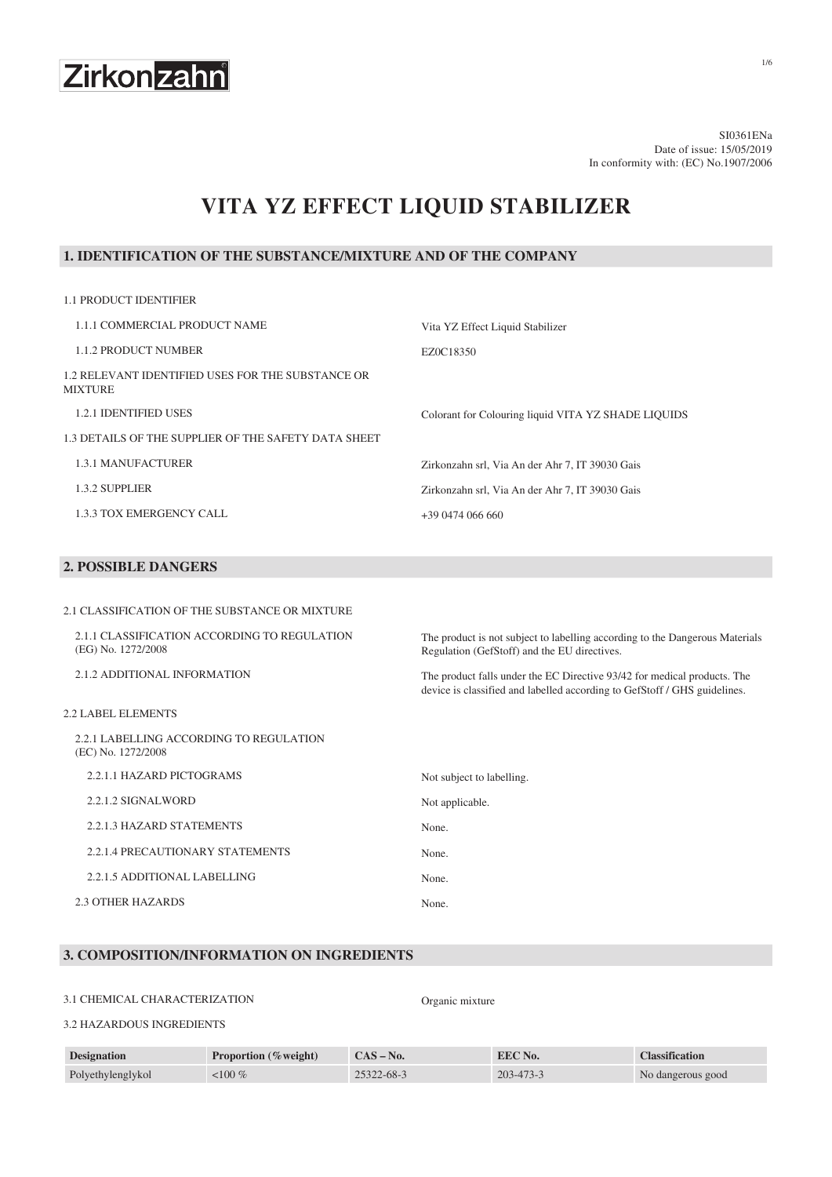

SI0361ENa Date of issue: 15/05/2019 In conformity with: (EC) No.1907/2006

# **VITA YZ EFFECT LIQUID STABILIZER**

#### **1. IDENTIFICATION OF THE SUBSTANCE/MIXTURE AND OF THE COMPANY**

| <b>1.1 PRODUCT IDENTIFIER</b>                                       |                                                     |
|---------------------------------------------------------------------|-----------------------------------------------------|
| 1.1.1 COMMERCIAL PRODUCT NAME                                       | Vita YZ Effect Liquid Stabilizer                    |
| <b>1.1.2 PRODUCT NUMBER</b>                                         | EZ0C18350                                           |
| 1.2 RELEVANT IDENTIFIED USES FOR THE SUBSTANCE OR<br><b>MIXTURE</b> |                                                     |
| <b>1.2.1 IDENTIFIED USES</b>                                        | Colorant for Colouring liquid VITA YZ SHADE LIQUIDS |
| 1.3 DETAILS OF THE SUPPLIER OF THE SAFETY DATA SHEET                |                                                     |
| <b>1.3.1 MANUFACTURER</b>                                           | Zirkonzahn srl, Via An der Ahr 7, IT 39030 Gais     |
| 1.3.2 SUPPLIER                                                      | Zirkonzahn srl, Via An der Ahr 7, IT 39030 Gais     |
| 1.3.3 TOX EMERGENCY CALL                                            | $+39047406660$                                      |

### **2. POSSIBLE DANGERS**

2.1 CLASSIFICATION OF THE SUBSTANCE OR MIXTURE

| 2.1.1 CLASSIFICATION ACCORDING TO REGULATION<br>(EG) No. 1272/2008 | The product is not subject to labelling according to the Dangerous Materials<br>Regulation (GefStoff) and the EU directives.                          |
|--------------------------------------------------------------------|-------------------------------------------------------------------------------------------------------------------------------------------------------|
| 2.1.2 ADDITIONAL INFORMATION                                       | The product falls under the EC Directive 93/42 for medical products. The<br>device is classified and labelled according to GefStoff / GHS guidelines. |
| 2.2 LABEL ELEMENTS                                                 |                                                                                                                                                       |
| 2.2.1 LABELLING ACCORDING TO REGULATION<br>(EC) No. 1272/2008      |                                                                                                                                                       |
| 2.2.1.1 HAZARD PICTOGRAMS                                          | Not subject to labelling.                                                                                                                             |
| 2.2.1.2 SIGNALWORD                                                 | Not applicable.                                                                                                                                       |
| 2.2.1.3 HAZARD STATEMENTS                                          | None.                                                                                                                                                 |
| 2.2.1.4 PRECAUTIONARY STATEMENTS                                   | None.                                                                                                                                                 |
| 2.2.1.5 ADDITIONAL LABELLING                                       | None.                                                                                                                                                 |
| 2.3 OTHER HAZARDS                                                  | None.                                                                                                                                                 |
|                                                                    |                                                                                                                                                       |

#### **3. COMPOSITION/INFORMATION ON INGREDIENTS**

#### 3.1 CHEMICAL CHARACTERIZATION Organic mixture

#### 3.2 HAZARDOUS INGREDIENTS

| <b>Designation</b> | <b>Proportion</b> (%weight) | $CAS - No.$ | EEC No.         | <b>Classification</b> |
|--------------------|-----------------------------|-------------|-----------------|-----------------------|
| Polyethylenglykol  | $<$ 100 $\%$                | 25322-68-3  | $203 - 473 - 3$ | No dangerous good     |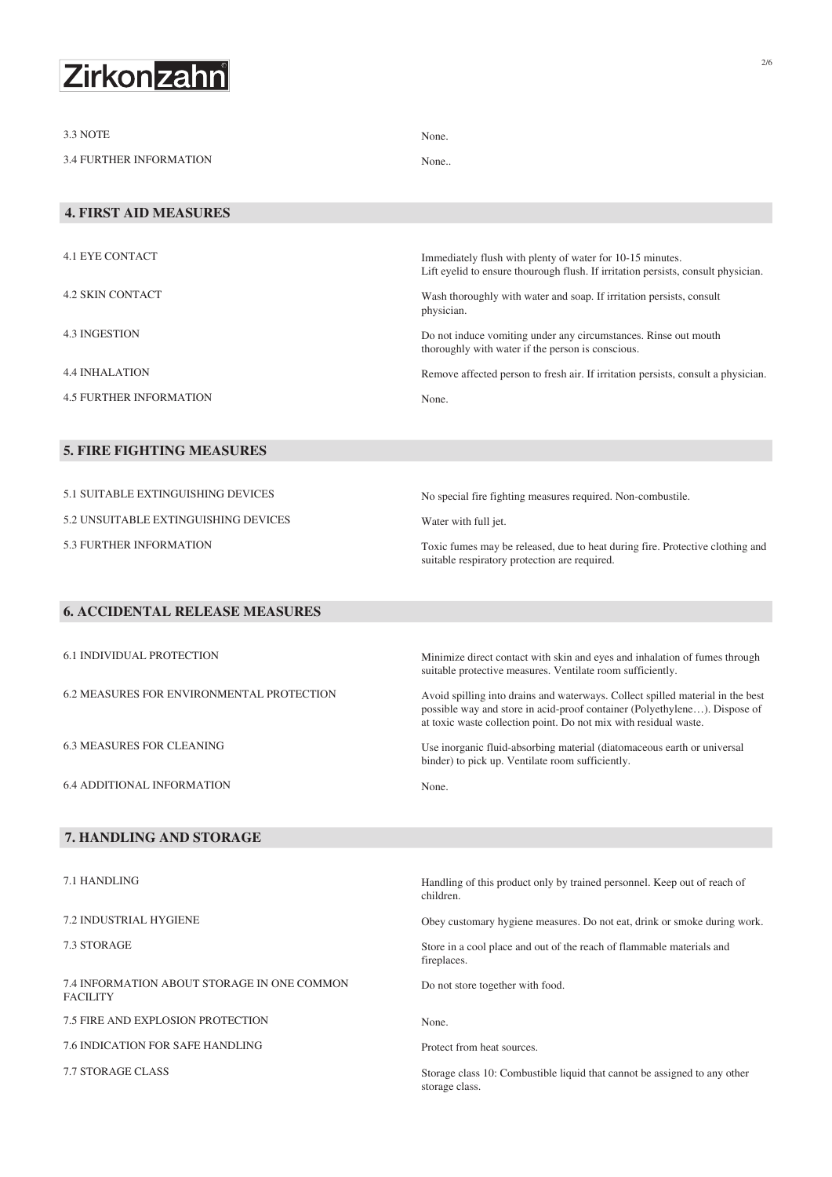

| 3.3 NOTE                                                       | None.                                                                                                                                                                                                                           |
|----------------------------------------------------------------|---------------------------------------------------------------------------------------------------------------------------------------------------------------------------------------------------------------------------------|
| <b>3.4 FURTHER INFORMATION</b>                                 | None                                                                                                                                                                                                                            |
|                                                                |                                                                                                                                                                                                                                 |
| <b>4. FIRST AID MEASURES</b>                                   |                                                                                                                                                                                                                                 |
|                                                                |                                                                                                                                                                                                                                 |
| <b>4.1 EYE CONTACT</b>                                         | Immediately flush with plenty of water for 10-15 minutes.<br>Lift eyelid to ensure thourough flush. If irritation persists, consult physician.                                                                                  |
| <b>4.2 SKIN CONTACT</b>                                        | Wash thoroughly with water and soap. If irritation persists, consult<br>physician.                                                                                                                                              |
| <b>4.3 INGESTION</b>                                           | Do not induce vomiting under any circumstances. Rinse out mouth<br>thoroughly with water if the person is conscious.                                                                                                            |
| <b>4.4 INHALATION</b>                                          | Remove affected person to fresh air. If irritation persists, consult a physician.                                                                                                                                               |
| <b>4.5 FURTHER INFORMATION</b>                                 | None.                                                                                                                                                                                                                           |
|                                                                |                                                                                                                                                                                                                                 |
| <b>5. FIRE FIGHTING MEASURES</b>                               |                                                                                                                                                                                                                                 |
|                                                                |                                                                                                                                                                                                                                 |
| 5.1 SUITABLE EXTINGUISHING DEVICES                             | No special fire fighting measures required. Non-combustile.                                                                                                                                                                     |
| 5.2 UNSUITABLE EXTINGUISHING DEVICES                           | Water with full jet.                                                                                                                                                                                                            |
| <b>5.3 FURTHER INFORMATION</b>                                 | Toxic fumes may be released, due to heat during fire. Protective clothing and<br>suitable respiratory protection are required.                                                                                                  |
|                                                                |                                                                                                                                                                                                                                 |
| <b>6. ACCIDENTAL RELEASE MEASURES</b>                          |                                                                                                                                                                                                                                 |
| <b>6.1 INDIVIDUAL PROTECTION</b>                               | Minimize direct contact with skin and eyes and inhalation of fumes through<br>suitable protective measures. Ventilate room sufficiently.                                                                                        |
| <b>6.2 MEASURES FOR ENVIRONMENTAL PROTECTION</b>               | Avoid spilling into drains and waterways. Collect spilled material in the best<br>possible way and store in acid-proof container (Polyethylene). Dispose of<br>at toxic waste collection point. Do not mix with residual waste. |
| <b>6.3 MEASURES FOR CLEANING</b>                               | Use inorganic fluid-absorbing material (diatomaceous earth or universal<br>binder) to pick up. Ventilate room sufficiently.                                                                                                     |
| <b>6.4 ADDITIONAL INFORMATION</b>                              | None.                                                                                                                                                                                                                           |
|                                                                |                                                                                                                                                                                                                                 |
| 7. HANDLING AND STORAGE                                        |                                                                                                                                                                                                                                 |
|                                                                |                                                                                                                                                                                                                                 |
| 7.1 HANDLING                                                   | Handling of this product only by trained personnel. Keep out of reach of<br>children.                                                                                                                                           |
| 7.2 INDUSTRIAL HYGIENE                                         | Obey customary hygiene measures. Do not eat, drink or smoke during work.                                                                                                                                                        |
| 7.3 STORAGE                                                    | Store in a cool place and out of the reach of flammable materials and<br>fireplaces.                                                                                                                                            |
| 7.4 INFORMATION ABOUT STORAGE IN ONE COMMON<br><b>FACILITY</b> | Do not store together with food.                                                                                                                                                                                                |
| 7.5 FIRE AND EXPLOSION PROTECTION                              | None.                                                                                                                                                                                                                           |
| 7.6 INDICATION FOR SAFE HANDLING                               | Protect from heat sources.                                                                                                                                                                                                      |

7.7 STORAGE CLASS Storage class 10: Combustible liquid that cannot be assigned to any other

storage class.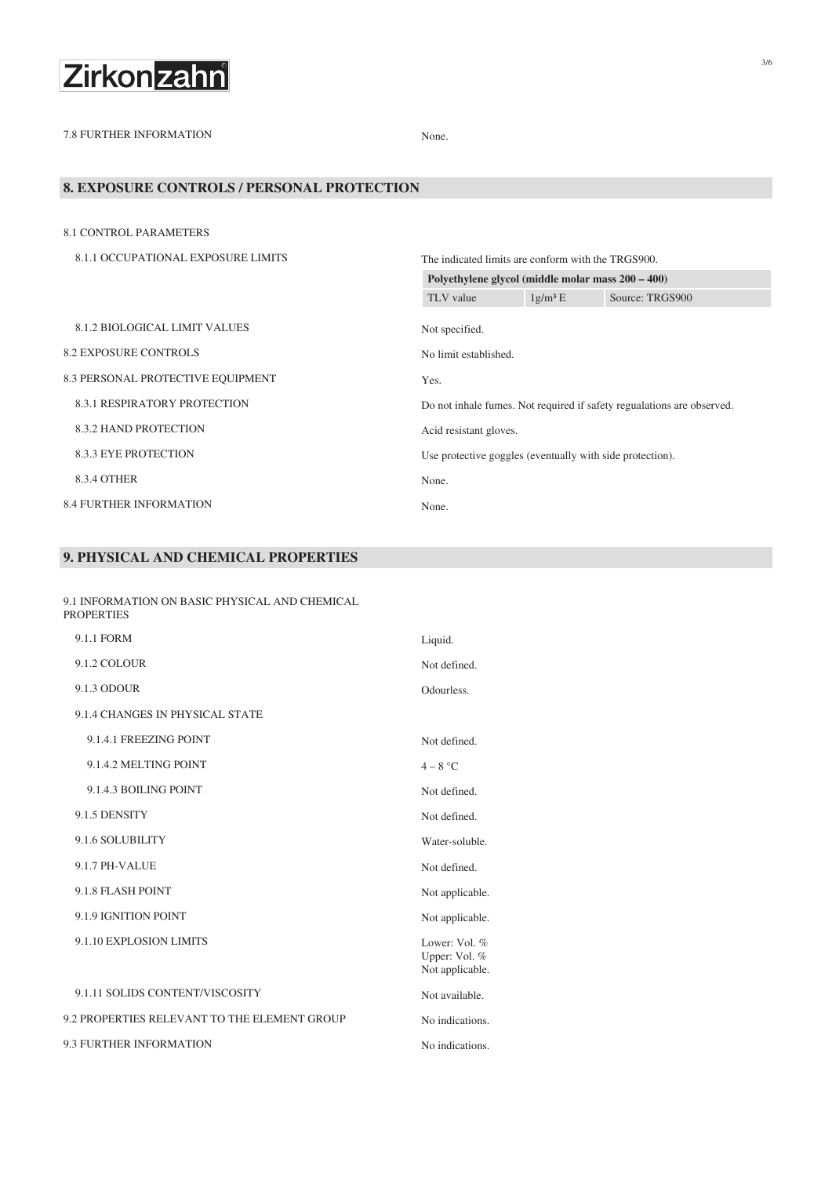

7.8 FURTHER INFORMATION None.

#### **8. EXPOSURE CONTROLS / PERSONAL PROTECTION**

| 8.1 CONTROL PARAMETERS               |                                                           |            |                                                                        |
|--------------------------------------|-----------------------------------------------------------|------------|------------------------------------------------------------------------|
| 8.1.1 OCCUPATIONAL EXPOSURE LIMITS   | The indicated limits are conform with the TRGS900.        |            |                                                                        |
|                                      | Polyethylene glycol (middle molar mass 200 – 400)         |            |                                                                        |
|                                      | TLV value                                                 | $1g/m^3 E$ | Source: TRGS900                                                        |
| <b>8.1.2 BIOLOGICAL LIMIT VALUES</b> | Not specified.                                            |            |                                                                        |
| <b>8.2 EXPOSURE CONTROLS</b>         | No limit established.                                     |            |                                                                        |
| 8.3 PERSONAL PROTECTIVE EQUIPMENT    | Yes.                                                      |            |                                                                        |
| <b>8.3.1 RESPIRATORY PROTECTION</b>  |                                                           |            | Do not inhale fumes. Not required if safety regualations are observed. |
| <b>8.3.2 HAND PROTECTION</b>         | Acid resistant gloves.                                    |            |                                                                        |
| <b>8.3.3 EYE PROTECTION</b>          | Use protective goggles (eventually with side protection). |            |                                                                        |
| 8.3.4 OTHER                          | None.                                                     |            |                                                                        |
| <b>8.4 FURTHER INFORMATION</b>       | None.                                                     |            |                                                                        |

#### **9. PHYSICAL AND CHEMICAL PROPERTIES**

9.1 INFORMATION ON BASIC PHYSICAL AND CHEMICAL PROPERTIES

| 9.1.1 FORM                                   | Liquid.                                           |
|----------------------------------------------|---------------------------------------------------|
| 9.1.2 COLOUR                                 | Not defined.                                      |
| 9.1.3 ODOUR                                  | Odourless.                                        |
| 9.1.4 CHANGES IN PHYSICAL STATE              |                                                   |
| 9.1.4.1 FREEZING POINT                       | Not defined.                                      |
| 9.1.4.2 MELTING POINT                        | $4-8 °C$                                          |
| 9.1.4.3 BOILING POINT                        | Not defined.                                      |
| 9.1.5 DENSITY                                | Not defined.                                      |
| 9.1.6 SOLUBILITY                             | Water-soluble.                                    |
| 9.1.7 PH-VALUE                               | Not defined.                                      |
| 9.1.8 FLASH POINT                            | Not applicable.                                   |
| 9.1.9 IGNITION POINT                         | Not applicable.                                   |
| 9.1.10 EXPLOSION LIMITS                      | Lower: Vol. %<br>Upper: Vol. %<br>Not applicable. |
| 9.1.11 SOLIDS CONTENT/VISCOSITY              | Not available.                                    |
| 9.2 PROPERTIES RELEVANT TO THE ELEMENT GROUP | No indications.                                   |
| 9.3 FURTHER INFORMATION                      | No indications.                                   |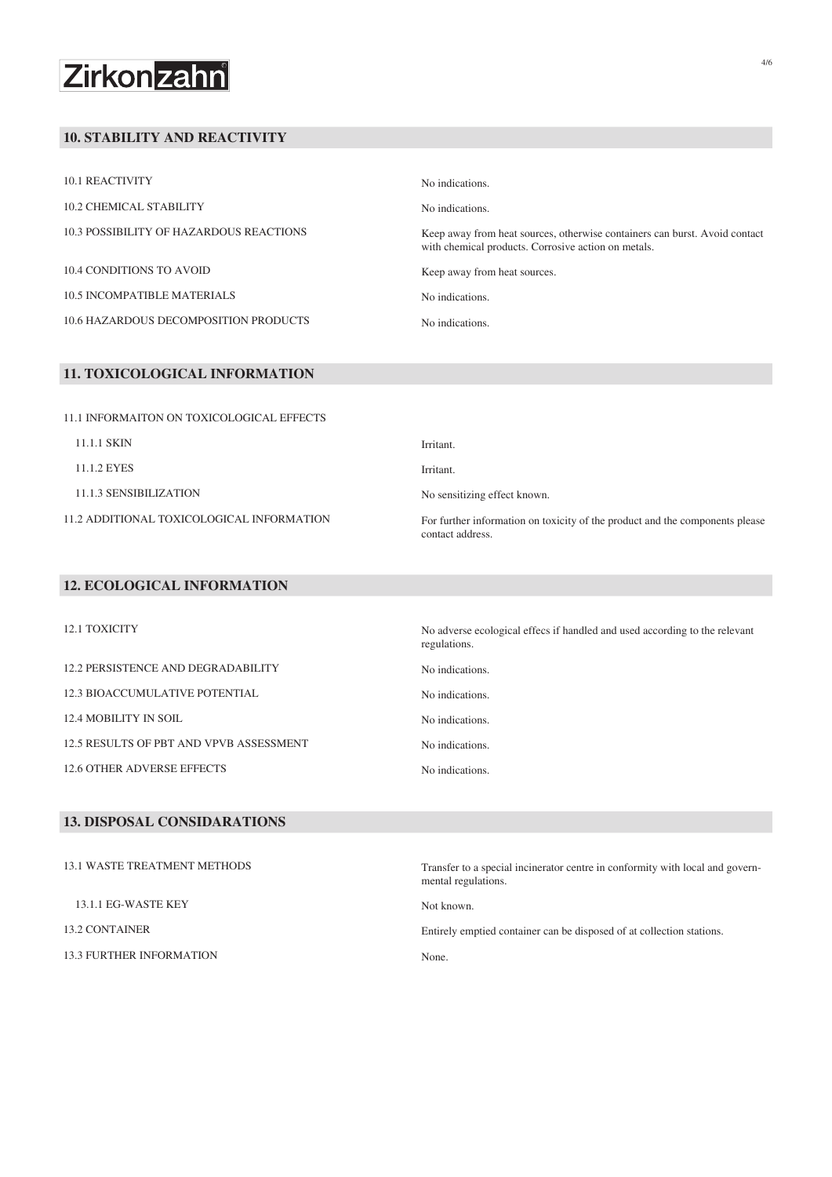# Zirkonzahn

#### **10. STABILITY AND REACTIVITY**

| 10.1 REACTIVITY                         | No indications.                                                                                                                   |
|-----------------------------------------|-----------------------------------------------------------------------------------------------------------------------------------|
| 10.2 CHEMICAL STABILITY                 | No indications.                                                                                                                   |
| 10.3 POSSIBILITY OF HAZARDOUS REACTIONS | Keep away from heat sources, otherwise containers can burst. Avoid contact<br>with chemical products. Corrosive action on metals. |
| 10.4 CONDITIONS TO AVOID                | Keep away from heat sources.                                                                                                      |
| <b>10.5 INCOMPATIBLE MATERIALS</b>      | No indications.                                                                                                                   |
| 10.6 HAZARDOUS DECOMPOSITION PRODUCTS   | No indications.                                                                                                                   |

#### **11. TOXICOLOGICAL INFORMATION**

| 11.1 INFORMAITON ON TOXICOLOGICAL EFFECTS |                                                                                                  |
|-------------------------------------------|--------------------------------------------------------------------------------------------------|
| 11.1.1 SKIN                               | Irritant.                                                                                        |
| 11.1.2 EYES                               | Irritant.                                                                                        |
| 11.1.3 SENSIBILIZATION                    | No sensitizing effect known.                                                                     |
| 11.2 ADDITIONAL TOXICOLOGICAL INFORMATION | For further information on toxicity of the product and the components please<br>contact address. |

No adverse ecological effecs if handled and used according to the relevant

#### **12. ECOLOGICAL INFORMATION**

| 12.1 TOXICITY                           | No adverse eco<br>regulations. |
|-----------------------------------------|--------------------------------|
| 12.2 PERSISTENCE AND DEGRADABILITY      | No indications.                |
| 12.3 BIOACCUMULATIVE POTENTIAL          | No indications.                |
| <b>12.4 MOBILITY IN SOIL</b>            | No indications.                |
| 12.5 RESULTS OF PBT AND VPVB ASSESSMENT | No indications.                |
| <b>12.6 OTHER ADVERSE EFFECTS</b>       | No indications.                |

#### **13. DISPOSAL CONSIDARATIONS**

| <b>13.1 WASTE TREATMENT METHODS</b> | Transfer to a special incinerator centre in conformity with local and govern-<br>mental regulations. |
|-------------------------------------|------------------------------------------------------------------------------------------------------|
| 13.1.1 EG-WASTE KEY                 | Not known.                                                                                           |
| 13.2 CONTAINER                      | Entirely emptied container can be disposed of at collection stations.                                |
| <b>13.3 FURTHER INFORMATION</b>     | None.                                                                                                |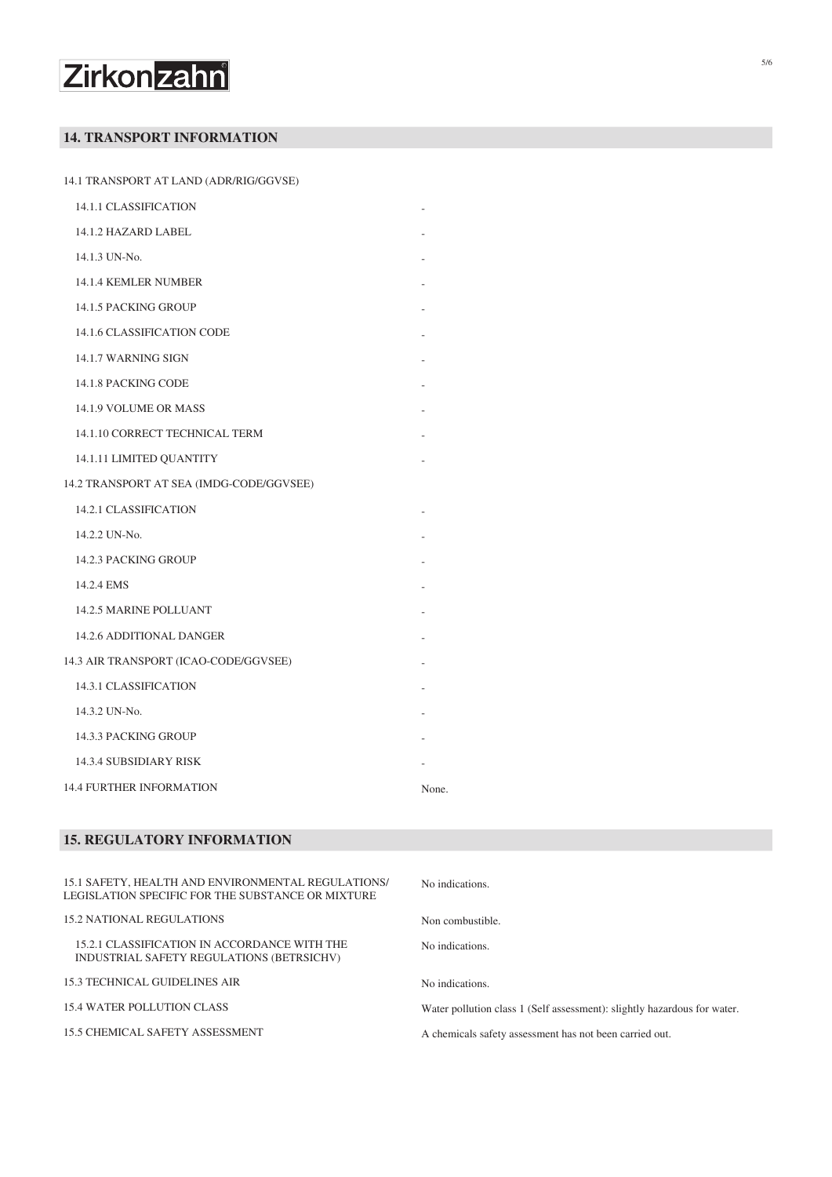# Zirkonzahn

## **14. TRANSPORT INFORMATION**

14.1 TRANSPORT AT LAND (ADR/RIG/GGVSE)

| 14.1.1 CLASSIFICATION                    |       |
|------------------------------------------|-------|
| 14.1.2 HAZARD LABEL                      |       |
| 14.1.3 UN-No.                            |       |
| <b>14.1.4 KEMLER NUMBER</b>              |       |
| 14.1.5 PACKING GROUP                     |       |
| 14.1.6 CLASSIFICATION CODE               |       |
| 14.1.7 WARNING SIGN                      |       |
| 14.1.8 PACKING CODE                      |       |
| 14.1.9 VOLUME OR MASS                    |       |
| 14.1.10 CORRECT TECHNICAL TERM           |       |
| 14.1.11 LIMITED QUANTITY                 |       |
| 14.2 TRANSPORT AT SEA (IMDG-CODE/GGVSEE) |       |
| <b>14.2.1 CLASSIFICATION</b>             |       |
| 14.2.2 UN-No.                            |       |
| 14.2.3 PACKING GROUP                     |       |
| 14.2.4 EMS                               |       |
| <b>14.2.5 MARINE POLLUANT</b>            |       |
| 14.2.6 ADDITIONAL DANGER                 |       |
| 14.3 AIR TRANSPORT (ICAO-CODE/GGVSEE)    |       |
| <b>14.3.1 CLASSIFICATION</b>             |       |
| 14.3.2 UN-No.                            |       |
| 14.3.3 PACKING GROUP                     |       |
| 14.3.4 SUBSIDIARY RISK                   |       |
| <b>14.4 FURTHER INFORMATION</b>          | None. |

### **15. REGULATORY INFORMATION**

| 15.1 SAFETY, HEALTH AND ENVIRONMENTAL REGULATIONS/<br>LEGISLATION SPECIFIC FOR THE SUBSTANCE OR MIXTURE | No indications.                                                          |
|---------------------------------------------------------------------------------------------------------|--------------------------------------------------------------------------|
| <b>15.2 NATIONAL REGULATIONS</b>                                                                        | Non combustible.                                                         |
| 15.2.1 CLASSIFICATION IN ACCORDANCE WITH THE<br>INDUSTRIAL SAFETY REGULATIONS (BETRSICHV)               | No indications.                                                          |
| <b>15.3 TECHNICAL GUIDELINES AIR</b>                                                                    | No indications.                                                          |
| <b>15.4 WATER POLLUTION CLASS</b>                                                                       | Water pollution class 1 (Self assessment): slightly hazardous for water. |
| <b>15.5 CHEMICAL SAFETY ASSESSMENT</b>                                                                  | A chemicals safety assessment has not been carried out.                  |